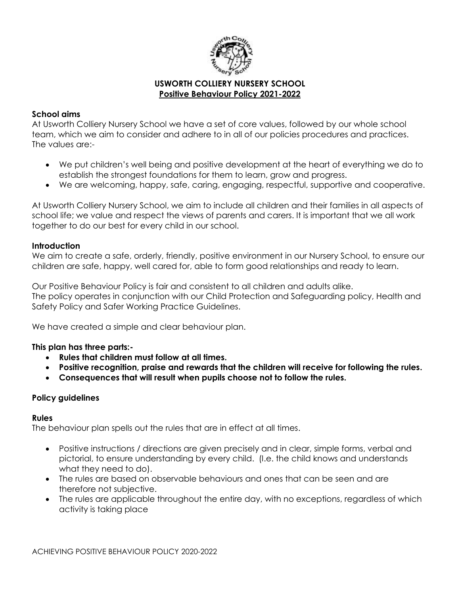

### **USWORTH COLLIERY NURSERY SCHOOL Positive Behaviour Policy 2021-2022**

### **School aims**

At Usworth Colliery Nursery School we have a set of core values, followed by our whole school team, which we aim to consider and adhere to in all of our policies procedures and practices. The values are:-

- We put children's well being and positive development at the heart of everything we do to establish the strongest foundations for them to learn, grow and progress.
- We are welcoming, happy, safe, caring, engaging, respectful, supportive and cooperative.

At Usworth Colliery Nursery School, we aim to include all children and their families in all aspects of school life; we value and respect the views of parents and carers. It is important that we all work together to do our best for every child in our school.

#### **Introduction**

We aim to create a safe, orderly, friendly, positive environment in our Nursery School, to ensure our children are safe, happy, well cared for, able to form good relationships and ready to learn.

Our Positive Behaviour Policy is fair and consistent to all children and adults alike. The policy operates in conjunction with our Child Protection and Safeguarding policy, Health and Safety Policy and Safer Working Practice Guidelines.

We have created a simple and clear behaviour plan.

#### **This plan has three parts:-**

- **Rules that children must follow at all times.**
- **Positive recognition, praise and rewards that the children will receive for following the rules.**
- **Consequences that will result when pupils choose not to follow the rules.**

#### **Policy guidelines**

#### **Rules**

The behaviour plan spells out the rules that are in effect at all times.

- Positive instructions / directions are given precisely and in clear, simple forms, verbal and pictorial, to ensure understanding by every child. (I.e. the child knows and understands what they need to do).
- The rules are based on observable behaviours and ones that can be seen and are therefore not subjective.
- The rules are applicable throughout the entire day, with no exceptions, regardless of which activity is taking place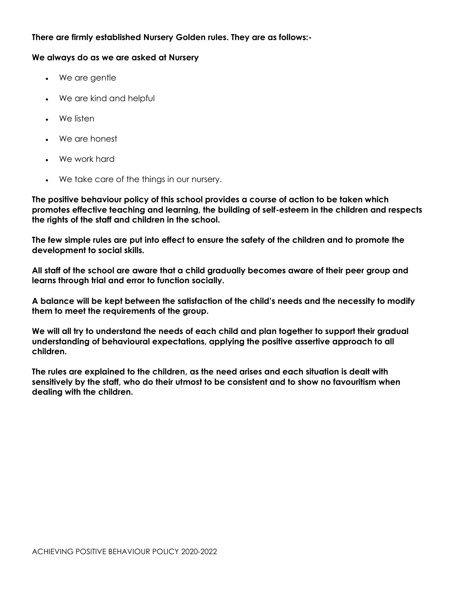# **There are firmly established Nursery Golden rules. They are as follows:-**

#### **We always do as we are asked at Nursery**

- We are gentle
- We are kind and helpful
- We listen
- We are honest
- We work hard
- We take care of the things in our nursery.

**The positive behaviour policy of this school provides a course of action to be taken which promotes effective teaching and learning, the building of self-esteem in the children and respects the rights of the staff and children in the school.** 

**The few simple rules are put into effect to ensure the safety of the children and to promote the development to social skills.**

**All staff of the school are aware that a child gradually becomes aware of their peer group and learns through trial and error to function socially.** 

**A balance will be kept between the satisfaction of the child's needs and the necessity to modify them to meet the requirements of the group.**

**We will all try to understand the needs of each child and plan together to support their gradual understanding of behavioural expectations, applying the positive assertive approach to all children.**

**The rules are explained to the children, as the need arises and each situation is dealt with sensitively by the staff, who do their utmost to be consistent and to show no favouritism when dealing with the children.**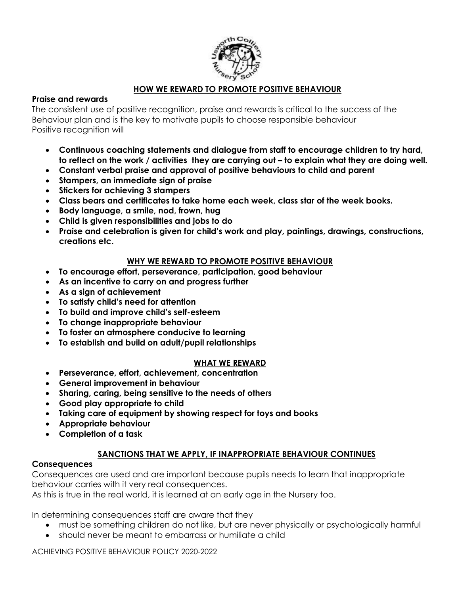

# **HOW WE REWARD TO PROMOTE POSITIVE BEHAVIOUR**

# **Praise and rewards**

The consistent use of positive recognition, praise and rewards is critical to the success of the Behaviour plan and is the key to motivate pupils to choose responsible behaviour Positive recognition will

- **Continuous coaching statements and dialogue from staff to encourage children to try hard, to reflect on the work / activities they are carrying out – to explain what they are doing well.**
- **Constant verbal praise and approval of positive behaviours to child and parent**
- **Stampers, an immediate sign of praise**
- **Stickers for achieving 3 stampers**
- **Class bears and certificates to take home each week, class star of the week books.**
- **Body language, a smile, nod, frown, hug**
- **Child is given responsibilities and jobs to do**
- **Praise and celebration is given for child's work and play, paintings, drawings, constructions, creations etc.**

# **WHY WE REWARD TO PROMOTE POSITIVE BEHAVIOUR**

- **To encourage effort, perseverance, participation, good behaviour**
- **As an incentive to carry on and progress further**
- **As a sign of achievement**
- **To satisfy child's need for attention**
- **To build and improve child's self-esteem**
- **To change inappropriate behaviour**
- **To foster an atmosphere conducive to learning**
- **To establish and build on adult/pupil relationships**

# **WHAT WE REWARD**

- **Perseverance, effort, achievement, concentration**
- **General improvement in behaviour**
- **Sharing, caring, being sensitive to the needs of others**
- **Good play appropriate to child**
- **Taking care of equipment by showing respect for toys and books**
- **Appropriate behaviour**
- **Completion of a task**

# **SANCTIONS THAT WE APPLY, IF INAPPROPRIATE BEHAVIOUR CONTINUES**

# **Consequences**

Consequences are used and are important because pupils needs to learn that inappropriate behaviour carries with it very real consequences.

As this is true in the real world, it is learned at an early age in the Nursery too.

In determining consequences staff are aware that they

- must be something children do not like, but are never physically or psychologically harmful
- should never be meant to embarrass or humiliate a child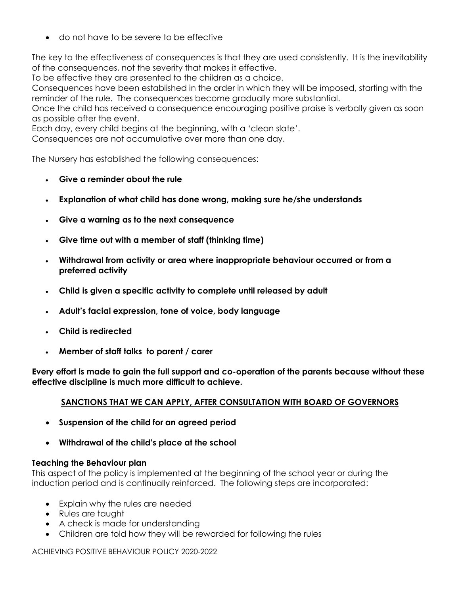do not have to be severe to be effective

The key to the effectiveness of consequences is that they are used consistently. It is the inevitability of the consequences, not the severity that makes it effective.

To be effective they are presented to the children as a choice.

Consequences have been established in the order in which they will be imposed, starting with the reminder of the rule. The consequences become gradually more substantial.

Once the child has received a consequence encouraging positive praise is verbally given as soon as possible after the event.

Each day, every child begins at the beginning, with a 'clean slate'.

Consequences are not accumulative over more than one day.

The Nursery has established the following consequences:

- **Give a reminder about the rule**
- **Explanation of what child has done wrong, making sure he/she understands**
- **Give a warning as to the next consequence**
- **Give time out with a member of staff (thinking time)**
- **Withdrawal from activity or area where inappropriate behaviour occurred or from a preferred activity**
- **Child is given a specific activity to complete until released by adult**
- **Adult's facial expression, tone of voice, body language**
- **Child is redirected**
- **Member of staff talks to parent / carer**

**Every effort is made to gain the full support and co-operation of the parents because without these effective discipline is much more difficult to achieve.**

# **SANCTIONS THAT WE CAN APPLY, AFTER CONSULTATION WITH BOARD OF GOVERNORS**

- **Suspension of the child for an agreed period**
- **Withdrawal of the child's place at the school**

# **Teaching the Behaviour plan**

This aspect of the policy is implemented at the beginning of the school year or during the induction period and is continually reinforced. The following steps are incorporated:

- Explain why the rules are needed
- Rules are taught
- A check is made for understanding
- Children are told how they will be rewarded for following the rules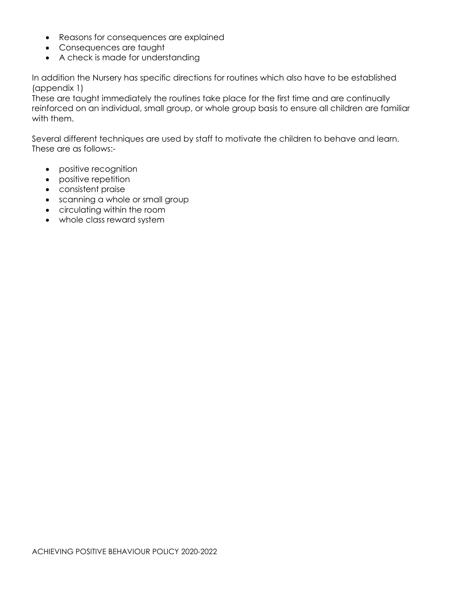- Reasons for consequences are explained
- Consequences are taught
- A check is made for understanding

In addition the Nursery has specific directions for routines which also have to be established (appendix 1)

These are taught immediately the routines take place for the first time and are continually reinforced on an individual, small group, or whole group basis to ensure all children are familiar with them.

Several different techniques are used by staff to motivate the children to behave and learn. These are as follows:-

- positive recognition
- positive repetition
- consistent praise
- scanning a whole or small group
- circulating within the room
- whole class reward system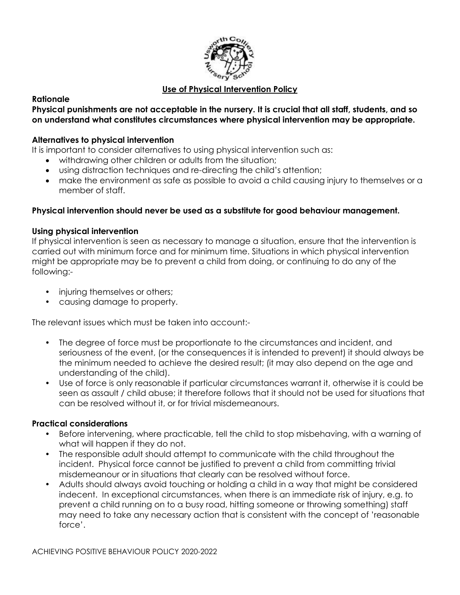

# **Use of Physical Intervention Policy**

# **Rationale**

### **Physical punishments are not acceptable in the nursery. It is crucial that all staff, students, and so on understand what constitutes circumstances where physical intervention may be appropriate.**

### **Alternatives to physical intervention**

It is important to consider alternatives to using physical intervention such as:

- withdrawing other children or adults from the situation;
- using distraction techniques and re-directing the child's attention;
- make the environment as safe as possible to avoid a child causing injury to themselves or a member of staff.

# **Physical intervention should never be used as a substitute for good behaviour management.**

# **Using physical intervention**

If physical intervention is seen as necessary to manage a situation, ensure that the intervention is carried out with minimum force and for minimum time. Situations in which physical intervention might be appropriate may be to prevent a child from doing, or continuing to do any of the following:-

- injuring themselves or others;
- causing damage to property.

The relevant issues which must be taken into account:-

- The degree of force must be proportionate to the circumstances and incident, and seriousness of the event, (or the consequences it is intended to prevent) it should always be the minimum needed to achieve the desired result; (it may also depend on the age and understanding of the child).
- Use of force is only reasonable if particular circumstances warrant it, otherwise it is could be seen as assault / child abuse; it therefore follows that it should not be used for situations that can be resolved without it, or for trivial misdemeanours.

# **Practical considerations**

- Before intervening, where practicable, tell the child to stop misbehaving, with a warning of what will happen if they do not.
- The responsible adult should attempt to communicate with the child throughout the incident. Physical force cannot be justified to prevent a child from committing trivial misdemeanour or in situations that clearly can be resolved without force.
- Adults should always avoid touching or holding a child in a way that might be considered indecent. In exceptional circumstances, when there is an immediate risk of injury, e.g. to prevent a child running on to a busy road, hitting someone or throwing something) staff may need to take any necessary action that is consistent with the concept of 'reasonable force'.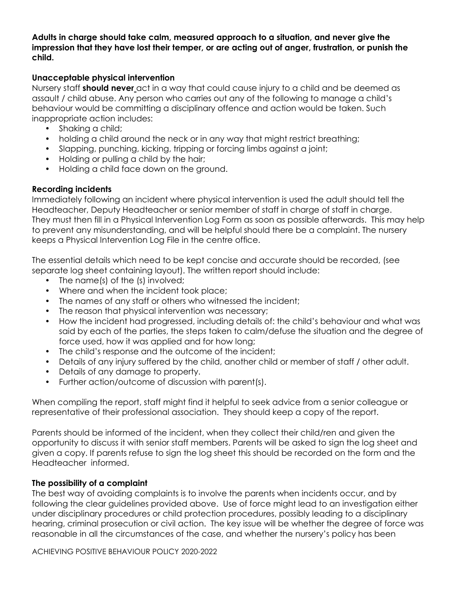**Adults in charge should take calm, measured approach to a situation, and never give the impression that they have lost their temper, or are acting out of anger, frustration, or punish the child.** 

### **Unacceptable physical intervention**

Nursery staff **should never** act in a way that could cause injury to a child and be deemed as assault / child abuse. Any person who carries out any of the following to manage a child's behaviour would be committing a disciplinary offence and action would be taken. Such inappropriate action includes:

- Shaking a child;
- holding a child around the neck or in any way that might restrict breathing;
- Slapping, punching, kicking, tripping or forcing limbs against a joint;
- Holding or pulling a child by the hair;
- Holding a child face down on the ground.

# **Recording incidents**

Immediately following an incident where physical intervention is used the adult should tell the Headteacher, Deputy Headteacher or senior member of staff in charge of staff in charge. They must then fill in a Physical Intervention Log Form as soon as possible afterwards. This may help to prevent any misunderstanding, and will be helpful should there be a complaint. The nursery keeps a Physical Intervention Log File in the centre office.

The essential details which need to be kept concise and accurate should be recorded, (see separate log sheet containing layout). The written report should include:

- The name(s) of the (s) involved;
- Where and when the incident took place;
- The names of any staff or others who witnessed the incident;
- The reason that physical intervention was necessary;
- How the incident had progressed, including details of: the child's behaviour and what was said by each of the parties, the steps taken to calm/defuse the situation and the degree of force used, how it was applied and for how long;
- The child's response and the outcome of the incident;
- Details of any injury suffered by the child, another child or member of staff / other adult.
- Details of any damage to property.
- Further action/outcome of discussion with parent(s).

When compiling the report, staff might find it helpful to seek advice from a senior colleague or representative of their professional association. They should keep a copy of the report.

Parents should be informed of the incident, when they collect their child/ren and given the opportunity to discuss it with senior staff members. Parents will be asked to sign the log sheet and given a copy. If parents refuse to sign the log sheet this should be recorded on the form and the Headteacher informed.

# **The possibility of a complaint**

The best way of avoiding complaints is to involve the parents when incidents occur, and by following the clear guidelines provided above. Use of force might lead to an investigation either under disciplinary procedures or child protection procedures, possibly leading to a disciplinary hearing, criminal prosecution or civil action. The key issue will be whether the degree of force was reasonable in all the circumstances of the case, and whether the nursery's policy has been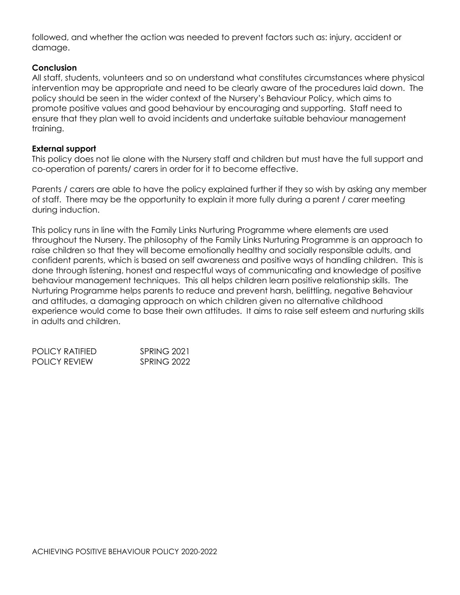followed, and whether the action was needed to prevent factors such as: injury, accident or damage.

# **Conclusion**

All staff, students, volunteers and so on understand what constitutes circumstances where physical intervention may be appropriate and need to be clearly aware of the procedures laid down. The policy should be seen in the wider context of the Nursery's Behaviour Policy, which aims to promote positive values and good behaviour by encouraging and supporting. Staff need to ensure that they plan well to avoid incidents and undertake suitable behaviour management training.

#### **External support**

This policy does not lie alone with the Nursery staff and children but must have the full support and co-operation of parents/ carers in order for it to become effective.

Parents / carers are able to have the policy explained further if they so wish by asking any member of staff. There may be the opportunity to explain it more fully during a parent / carer meeting during induction.

This policy runs in line with the Family Links Nurturing Programme where elements are used throughout the Nursery. The philosophy of the Family Links Nurturing Programme is an approach to raise children so that they will become emotionally healthy and socially responsible adults, and confident parents, which is based on self awareness and positive ways of handling children. This is done through listening, honest and respectful ways of communicating and knowledge of positive behaviour management techniques. This all helps children learn positive relationship skills. The Nurturing Programme helps parents to reduce and prevent harsh, belittling, negative Behaviour and attitudes, a damaging approach on which children given no alternative childhood experience would come to base their own attitudes. It aims to raise self esteem and nurturing skills in adults and children.

| POLICY RATIFIED. | SPRING 2021 |
|------------------|-------------|
| POLICY REVIEW    | SPRING 2022 |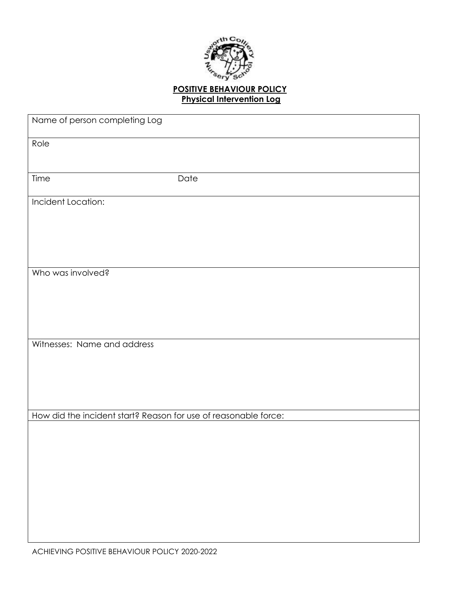

# **POSITIVE BEHAVIOUR POLICY Physical Intervention Log**

| Name of person completing Log |                                                                 |
|-------------------------------|-----------------------------------------------------------------|
| Role                          |                                                                 |
| Time                          | Date                                                            |
| Incident Location:            |                                                                 |
| Who was involved?             |                                                                 |
| Witnesses: Name and address   |                                                                 |
|                               | How did the incident start? Reason for use of reasonable force: |
|                               |                                                                 |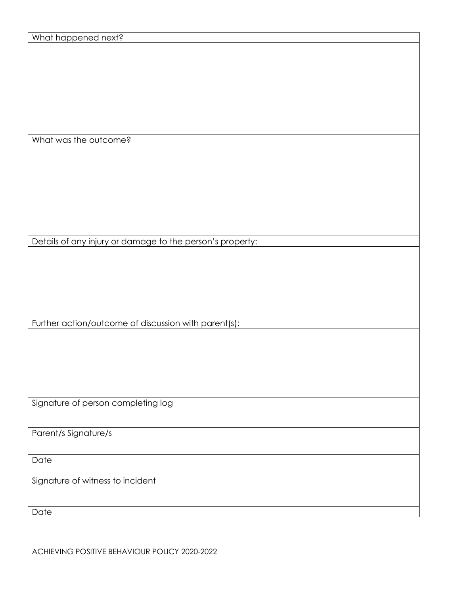| What happened next?                                       |
|-----------------------------------------------------------|
|                                                           |
|                                                           |
|                                                           |
|                                                           |
|                                                           |
|                                                           |
|                                                           |
|                                                           |
|                                                           |
|                                                           |
|                                                           |
| What was the outcome?                                     |
|                                                           |
|                                                           |
|                                                           |
|                                                           |
|                                                           |
|                                                           |
|                                                           |
|                                                           |
|                                                           |
|                                                           |
|                                                           |
| Details of any injury or damage to the person's property: |
|                                                           |
|                                                           |
|                                                           |
|                                                           |
|                                                           |
|                                                           |
|                                                           |
|                                                           |
| Further action/outcome of discussion with parent(s):      |
|                                                           |
|                                                           |
|                                                           |
|                                                           |
|                                                           |
|                                                           |
|                                                           |
|                                                           |
|                                                           |
| Signature of person completing log                        |
|                                                           |
|                                                           |
| Parent/s Signature/s                                      |
|                                                           |
|                                                           |
| Date                                                      |
|                                                           |
|                                                           |
| Signature of witness to incident                          |
|                                                           |
|                                                           |
|                                                           |

Date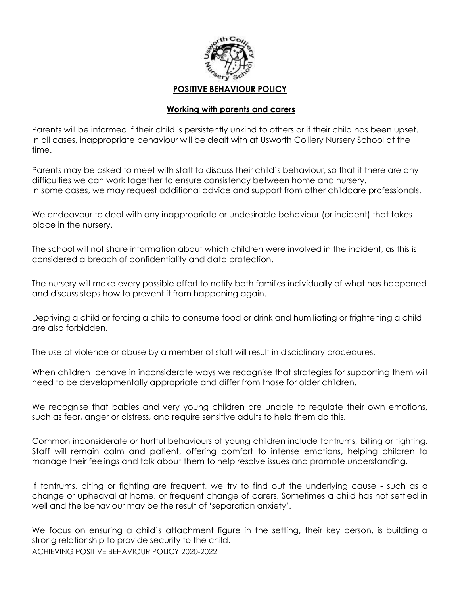

### **Working with parents and carers**

Parents will be informed if their child is persistently unkind to others or if their child has been upset. In all cases, inappropriate behaviour will be dealt with at Usworth Colliery Nursery School at the time.

Parents may be asked to meet with staff to discuss their child's behaviour, so that if there are any difficulties we can work together to ensure consistency between home and nursery. In some cases, we may request additional advice and support from other childcare professionals.

We endeavour to deal with any inappropriate or undesirable behaviour (or incident) that takes place in the nursery.

The school will not share information about which children were involved in the incident, as this is considered a breach of confidentiality and data protection.

The nursery will make every possible effort to notify both families individually of what has happened and discuss steps how to prevent it from happening again.

Depriving a child or forcing a child to consume food or drink and humiliating or frightening a child are also forbidden.

The use of violence or abuse by a member of staff will result in disciplinary procedures.

When children behave in inconsiderate ways we recognise that strategies for supporting them will need to be developmentally appropriate and differ from those for older children.

We recognise that babies and very young children are unable to regulate their own emotions, such as fear, anger or distress, and require sensitive adults to help them do this.

Common inconsiderate or hurtful behaviours of young children include tantrums, biting or fighting. Staff will remain calm and patient, offering comfort to intense emotions, helping children to manage their feelings and talk about them to help resolve issues and promote understanding.

If tantrums, biting or fighting are frequent, we try to find out the underlying cause - such as a change or upheaval at home, or frequent change of carers. Sometimes a child has not settled in well and the behaviour may be the result of 'separation anxiety'.

ACHIEVING POSITIVE BEHAVIOUR POLICY 2020-2022 We focus on ensuring a child's attachment figure in the setting, their key person, is building a strong relationship to provide security to the child.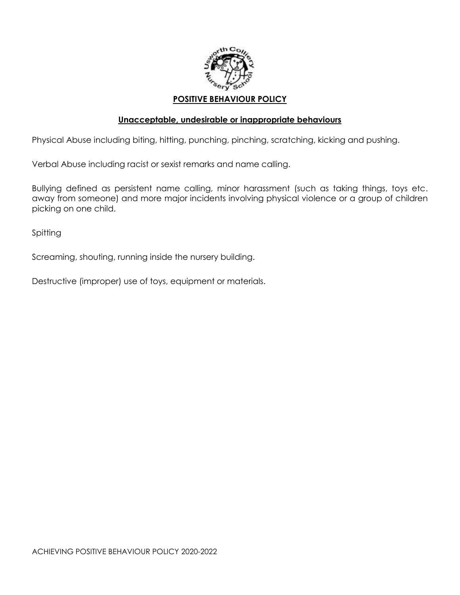

### **Unacceptable, undesirable or inappropriate behaviours**

Physical Abuse including biting, hitting, punching, pinching, scratching, kicking and pushing.

Verbal Abuse including racist or sexist remarks and name calling.

Bullying defined as persistent name calling, minor harassment (such as taking things, toys etc. away from someone) and more major incidents involving physical violence or a group of children picking on one child.

Spitting

Screaming, shouting, running inside the nursery building.

Destructive (improper) use of toys, equipment or materials.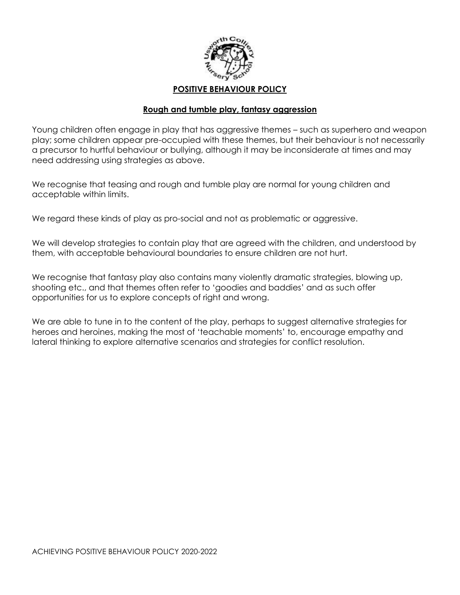

### **Rough and tumble play, fantasy aggression**

Young children often engage in play that has aggressive themes – such as superhero and weapon play; some children appear pre-occupied with these themes, but their behaviour is not necessarily a precursor to hurtful behaviour or bullying, although it may be inconsiderate at times and may need addressing using strategies as above.

We recognise that teasing and rough and tumble play are normal for young children and acceptable within limits.

We regard these kinds of play as pro-social and not as problematic or aggressive.

We will develop strategies to contain play that are agreed with the children, and understood by them, with acceptable behavioural boundaries to ensure children are not hurt.

We recognise that fantasy play also contains many violently dramatic strategies, blowing up, shooting etc., and that themes often refer to 'goodies and baddies' and as such offer opportunities for us to explore concepts of right and wrong.

We are able to tune in to the content of the play, perhaps to suggest alternative strategies for heroes and heroines, making the most of 'teachable moments' to, encourage empathy and lateral thinking to explore alternative scenarios and strategies for conflict resolution.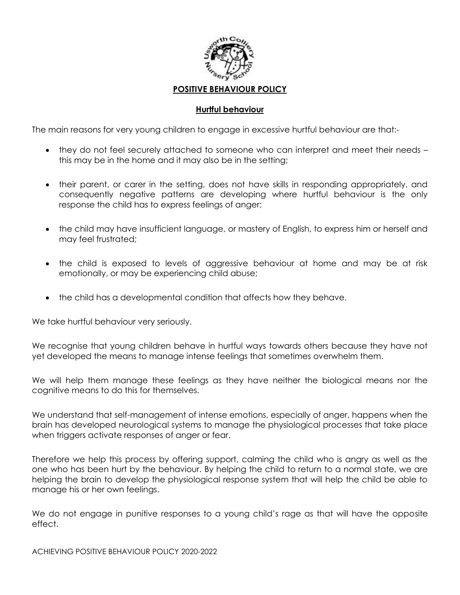

### **Hurtful behaviour**

The main reasons for very young children to engage in excessive hurtful behaviour are that:-

- they do not feel securely attached to someone who can interpret and meet their needs this may be in the home and it may also be in the setting;
- their parent, or carer in the setting, does not have skills in responding appropriately, and consequently negative patterns are developing where hurtful behaviour is the only response the child has to express feelings of anger;
- the child may have insufficient language, or mastery of English, to express him or herself and may feel frustrated;
- the child is exposed to levels of aggressive behaviour at home and may be at risk emotionally, or may be experiencing child abuse;
- the child has a developmental condition that affects how they behave.

We take hurtful behaviour very seriously.

We recognise that young children behave in hurtful ways towards others because they have not yet developed the means to manage intense feelings that sometimes overwhelm them.

We will help them manage these feelings as they have neither the biological means nor the cognitive means to do this for themselves.

We understand that self-management of intense emotions, especially of anger, happens when the brain has developed neurological systems to manage the physiological processes that take place when triggers activate responses of anger or fear.

Therefore we help this process by offering support, calming the child who is angry as well as the one who has been hurt by the behaviour. By helping the child to return to a normal state, we are helping the brain to develop the physiological response system that will help the child be able to manage his or her own feelings.

We do not engage in punitive responses to a young child's rage as that will have the opposite effect.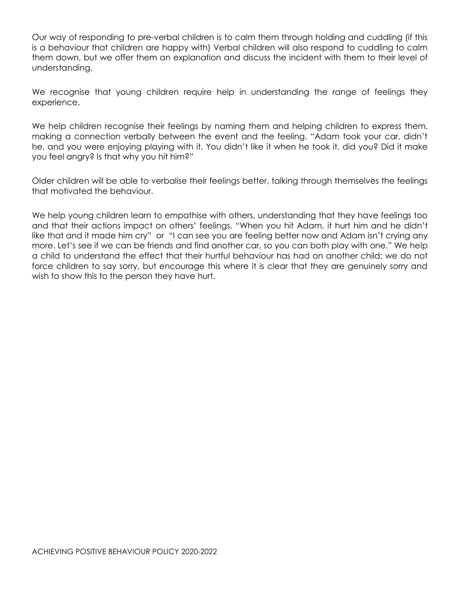Our way of responding to pre-verbal children is to calm them through holding and cuddling (if this is a behaviour that children are happy with) Verbal children will also respond to cuddling to calm them down, but we offer them an explanation and discuss the incident with them to their level of understanding.

We recognise that young children require help in understanding the range of feelings they experience.

We help children recognise their feelings by naming them and helping children to express them, making a connection verbally between the event and the feeling. "Adam took your car, didn't he, and you were enjoying playing with it. You didn't like it when he took it, did you? Did it make you feel angry? Is that why you hit him?"

Older children will be able to verbalise their feelings better, talking through themselves the feelings that motivated the behaviour.

We help young children learn to empathise with others, understanding that they have feelings too and that their actions impact on others' feelings. "When you hit Adam, it hurt him and he didn't like that and it made him cry" or "I can see you are feeling better now and Adam isn't crying any more. Let's see if we can be friends and find another car, so you can both play with one." We help a child to understand the effect that their hurtful behaviour has had on another child; we do not force children to say sorry, but encourage this where it is clear that they are genuinely sorry and wish to show this to the person they have hurt.